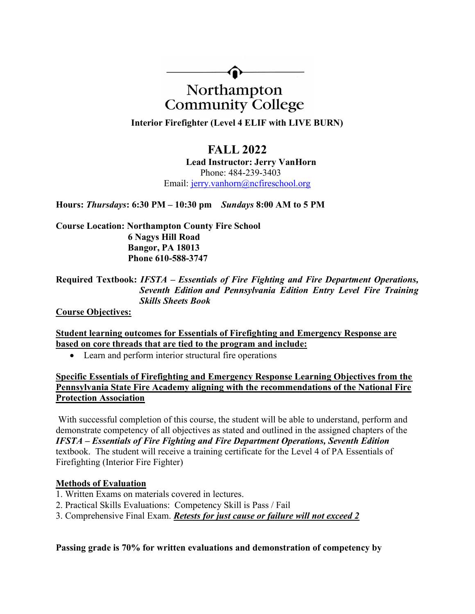

# Northampton **Community College**

Interior Firefighter (Level 4 ELIF with LIVE BURN)

# FALL 2022

Lead Instructor: Jerry VanHorn Phone: 484-239-3403 Email: jerry.vanhorn@ncfireschool.org

Hours: Thursdays: 6:30 PM – 10:30 pm Sundays 8:00 AM to 5 PM

Course Location: Northampton County Fire School 6 Nagys Hill Road Bangor, PA 18013 Phone 610-588-3747

## Required Textbook: IFSTA – Essentials of Fire Fighting and Fire Department Operations, Seventh Edition and Pennsylvania Edition Entry Level Fire Training Skills Sheets Book

Course Objectives:

Student learning outcomes for Essentials of Firefighting and Emergency Response are based on core threads that are tied to the program and include:

• Learn and perform interior structural fire operations

Specific Essentials of Firefighting and Emergency Response Learning Objectives from the Pennsylvania State Fire Academy aligning with the recommendations of the National Fire Protection Association

With successful completion of this course, the student will be able to understand, perform and demonstrate competency of all objectives as stated and outlined in the assigned chapters of the IFSTA – Essentials of Fire Fighting and Fire Department Operations, Seventh Edition textbook. The student will receive a training certificate for the Level 4 of PA Essentials of Firefighting (Interior Fire Fighter)

#### Methods of Evaluation

- 1. Written Exams on materials covered in lectures.
- 2. Practical Skills Evaluations: Competency Skill is Pass / Fail
- 3. Comprehensive Final Exam. *Retests for just cause or failure will not exceed 2*

Passing grade is 70% for written evaluations and demonstration of competency by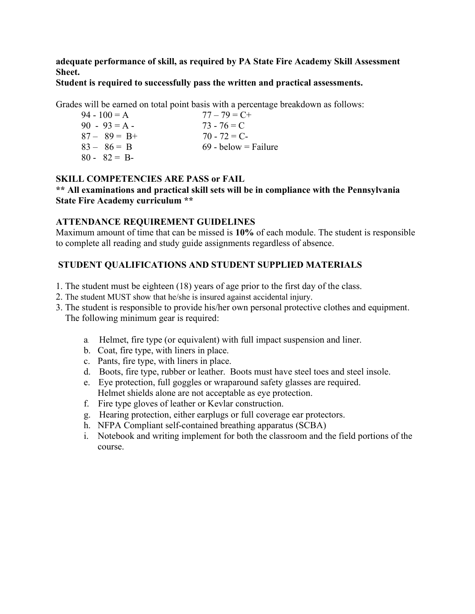adequate performance of skill, as required by PA State Fire Academy Skill Assessment Sheet.

#### Student is required to successfully pass the written and practical assessments.

Grades will be earned on total point basis with a percentage breakdown as follows:

| $77 - 79 = C +$        |
|------------------------|
| $73 - 76 = C$          |
| $70 - 72 = C$          |
| $69 -$ below = Failure |
|                        |
|                        |

#### SKILL COMPETENCIES ARE PASS or FAIL

#### \*\* All examinations and practical skill sets will be in compliance with the Pennsylvania State Fire Academy curriculum \*\*

#### ATTENDANCE REQUIREMENT GUIDELINES

Maximum amount of time that can be missed is 10% of each module. The student is responsible to complete all reading and study guide assignments regardless of absence.

## STUDENT QUALIFICATIONS AND STUDENT SUPPLIED MATERIALS

- 1. The student must be eighteen (18) years of age prior to the first day of the class.
- 2. The student MUST show that he/she is insured against accidental injury.
- 3. The student is responsible to provide his/her own personal protective clothes and equipment. The following minimum gear is required:
	- a. Helmet, fire type (or equivalent) with full impact suspension and liner.
	- b. Coat, fire type, with liners in place.
	- c. Pants, fire type, with liners in place.
	- d. Boots, fire type, rubber or leather. Boots must have steel toes and steel insole.
	- e. Eye protection, full goggles or wraparound safety glasses are required. Helmet shields alone are not acceptable as eye protection.
	- f. Fire type gloves of leather or Kevlar construction.
	- g. Hearing protection, either earplugs or full coverage ear protectors.
	- h. NFPA Compliant self-contained breathing apparatus (SCBA)
	- i. Notebook and writing implement for both the classroom and the field portions of the course.